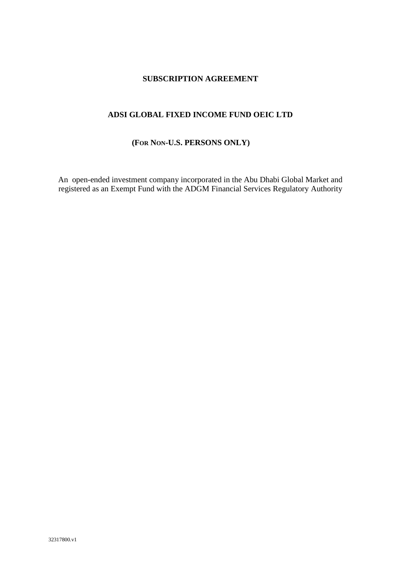# **SUBSCRIPTION AGREEMENT**

# **ADSI GLOBAL FIXED INCOME FUND OEIC LTD**

## **(FOR NON-U.S. PERSONS ONLY)**

An open-ended investment company incorporated in the Abu Dhabi Global Market and registered as an Exempt Fund with the ADGM Financial Services Regulatory Authority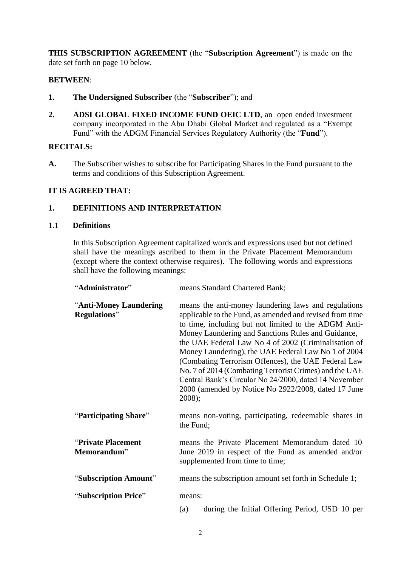**THIS SUBSCRIPTION AGREEMENT** (the "**Subscription Agreement**") is made on the date set forth on page 10 below.

## **BETWEEN**:

- **1. The Undersigned Subscriber** (the "**Subscriber**"); and
- **2. ADSI GLOBAL FIXED INCOME FUND OEIC LTD**, an open ended investment company incorporated in the Abu Dhabi Global Market and regulated as a "Exempt Fund" with the ADGM Financial Services Regulatory Authority (the "**Fund**").

## **RECITALS:**

**A.** The Subscriber wishes to subscribe for Participating Shares in the Fund pursuant to the terms and conditions of this Subscription Agreement.

# **IT IS AGREED THAT:**

## **1. DEFINITIONS AND INTERPRETATION**

#### 1.1 **Definitions**

In this Subscription Agreement capitalized words and expressions used but not defined shall have the meanings ascribed to them in the Private Placement Memorandum (except where the context otherwise requires). The following words and expressions shall have the following meanings:

| "Administrator"                                | means Standard Chartered Bank;                                                                                                                                                                                                                                                                                                                                                                                                                                                                                                                                                           |  |
|------------------------------------------------|------------------------------------------------------------------------------------------------------------------------------------------------------------------------------------------------------------------------------------------------------------------------------------------------------------------------------------------------------------------------------------------------------------------------------------------------------------------------------------------------------------------------------------------------------------------------------------------|--|
| "Anti-Money Laundering<br><b>Regulations</b> " | means the anti-money laundering laws and regulations<br>applicable to the Fund, as amended and revised from time<br>to time, including but not limited to the ADGM Anti-<br>Money Laundering and Sanctions Rules and Guidance,<br>the UAE Federal Law No 4 of 2002 (Criminalisation of<br>Money Laundering), the UAE Federal Law No 1 of 2004<br>(Combating Terrorism Offences), the UAE Federal Law<br>No. 7 of 2014 (Combating Terrorist Crimes) and the UAE<br>Central Bank's Circular No 24/2000, dated 14 November<br>2000 (amended by Notice No 2922/2008, dated 17 June<br>2008); |  |
| "Participating Share"                          | means non-voting, participating, redeemable shares in<br>the Fund;                                                                                                                                                                                                                                                                                                                                                                                                                                                                                                                       |  |
| "Private Placement<br>Memorandum"              | means the Private Placement Memorandum dated 10<br>June 2019 in respect of the Fund as amended and/or<br>supplemented from time to time;                                                                                                                                                                                                                                                                                                                                                                                                                                                 |  |
| "Subscription Amount"                          | means the subscription amount set forth in Schedule 1;                                                                                                                                                                                                                                                                                                                                                                                                                                                                                                                                   |  |
| "Subscription Price"                           | means:                                                                                                                                                                                                                                                                                                                                                                                                                                                                                                                                                                                   |  |
|                                                | during the Initial Offering Period, USD 10 per<br>(a)                                                                                                                                                                                                                                                                                                                                                                                                                                                                                                                                    |  |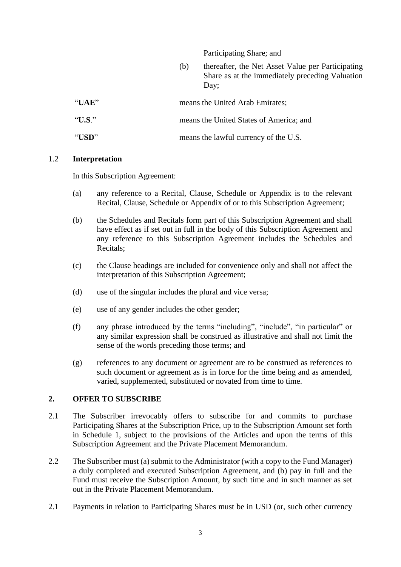Participating Share; and

(b) thereafter, the Net Asset Value per Participating Share as at the immediately preceding Valuation Day;

| "IIAE" | means the United Arab Emirates;         |
|--------|-----------------------------------------|
| "U.S." | means the United States of America; and |
| "USD"  | means the lawful currency of the U.S.   |

#### 1.2 **Interpretation**

In this Subscription Agreement:

- (a) any reference to a Recital, Clause, Schedule or Appendix is to the relevant Recital, Clause, Schedule or Appendix of or to this Subscription Agreement;
- (b) the Schedules and Recitals form part of this Subscription Agreement and shall have effect as if set out in full in the body of this Subscription Agreement and any reference to this Subscription Agreement includes the Schedules and Recitals;
- (c) the Clause headings are included for convenience only and shall not affect the interpretation of this Subscription Agreement;
- (d) use of the singular includes the plural and vice versa;
- (e) use of any gender includes the other gender;
- (f) any phrase introduced by the terms "including", "include", "in particular" or any similar expression shall be construed as illustrative and shall not limit the sense of the words preceding those terms; and
- (g) references to any document or agreement are to be construed as references to such document or agreement as is in force for the time being and as amended, varied, supplemented, substituted or novated from time to time.

### **2. OFFER TO SUBSCRIBE**

- 2.1 The Subscriber irrevocably offers to subscribe for and commits to purchase Participating Shares at the Subscription Price, up to the Subscription Amount set forth in Schedule 1, subject to the provisions of the Articles and upon the terms of this Subscription Agreement and the Private Placement Memorandum.
- 2.2 The Subscriber must (a) submit to the Administrator (with a copy to the Fund Manager) a duly completed and executed Subscription Agreement, and (b) pay in full and the Fund must receive the Subscription Amount, by such time and in such manner as set out in the Private Placement Memorandum.
- 2.1 Payments in relation to Participating Shares must be in USD (or, such other currency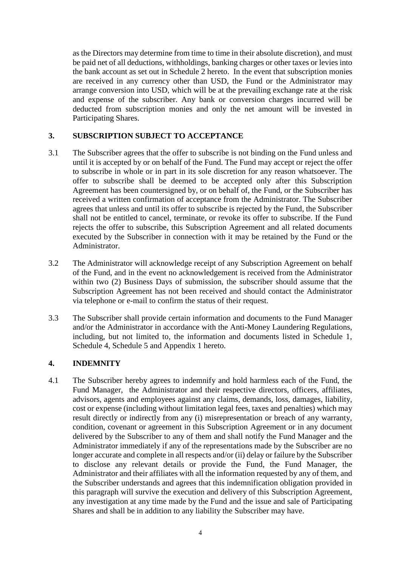as the Directors may determine from time to time in their absolute discretion), and must be paid net of all deductions, withholdings, banking charges or other taxes or levies into the bank account as set out in Schedule 2 hereto. In the event that subscription monies are received in any currency other than USD, the Fund or the Administrator may arrange conversion into USD, which will be at the prevailing exchange rate at the risk and expense of the subscriber. Any bank or conversion charges incurred will be deducted from subscription monies and only the net amount will be invested in Participating Shares.

## **3. SUBSCRIPTION SUBJECT TO ACCEPTANCE**

- 3.1 The Subscriber agrees that the offer to subscribe is not binding on the Fund unless and until it is accepted by or on behalf of the Fund. The Fund may accept or reject the offer to subscribe in whole or in part in its sole discretion for any reason whatsoever. The offer to subscribe shall be deemed to be accepted only after this Subscription Agreement has been countersigned by, or on behalf of, the Fund, or the Subscriber has received a written confirmation of acceptance from the Administrator. The Subscriber agrees that unless and until its offer to subscribe is rejected by the Fund, the Subscriber shall not be entitled to cancel, terminate, or revoke its offer to subscribe. If the Fund rejects the offer to subscribe, this Subscription Agreement and all related documents executed by the Subscriber in connection with it may be retained by the Fund or the Administrator.
- 3.2 The Administrator will acknowledge receipt of any Subscription Agreement on behalf of the Fund, and in the event no acknowledgement is received from the Administrator within two (2) Business Days of submission, the subscriber should assume that the Subscription Agreement has not been received and should contact the Administrator via telephone or e-mail to confirm the status of their request.
- 3.3 The Subscriber shall provide certain information and documents to the Fund Manager and/or the Administrator in accordance with the Anti-Money Laundering Regulations, including, but not limited to, the information and documents listed in Schedule 1, Schedule 4, Schedule 5 and Appendix 1 hereto.

# **4. INDEMNITY**

4.1 The Subscriber hereby agrees to indemnify and hold harmless each of the Fund, the Fund Manager, the Administrator and their respective directors, officers, affiliates, advisors, agents and employees against any claims, demands, loss, damages, liability, cost or expense (including without limitation legal fees, taxes and penalties) which may result directly or indirectly from any (i) misrepresentation or breach of any warranty, condition, covenant or agreement in this Subscription Agreement or in any document delivered by the Subscriber to any of them and shall notify the Fund Manager and the Administrator immediately if any of the representations made by the Subscriber are no longer accurate and complete in all respects and/or (ii) delay or failure by the Subscriber to disclose any relevant details or provide the Fund, the Fund Manager, the Administrator and their affiliates with all the information requested by any of them, and the Subscriber understands and agrees that this indemnification obligation provided in this paragraph will survive the execution and delivery of this Subscription Agreement, any investigation at any time made by the Fund and the issue and sale of Participating Shares and shall be in addition to any liability the Subscriber may have.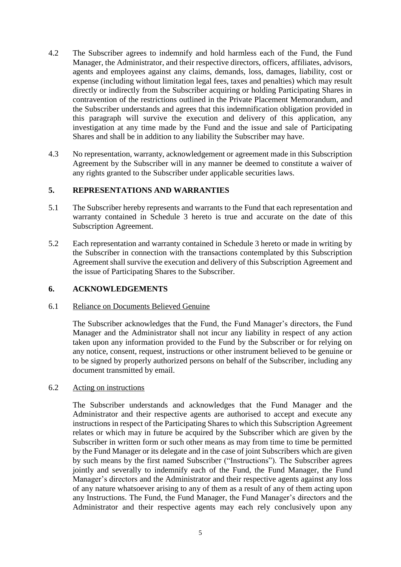- 4.2 The Subscriber agrees to indemnify and hold harmless each of the Fund, the Fund Manager, the Administrator, and their respective directors, officers, affiliates, advisors, agents and employees against any claims, demands, loss, damages, liability, cost or expense (including without limitation legal fees, taxes and penalties) which may result directly or indirectly from the Subscriber acquiring or holding Participating Shares in contravention of the restrictions outlined in the Private Placement Memorandum, and the Subscriber understands and agrees that this indemnification obligation provided in this paragraph will survive the execution and delivery of this application, any investigation at any time made by the Fund and the issue and sale of Participating Shares and shall be in addition to any liability the Subscriber may have.
- 4.3 No representation, warranty, acknowledgement or agreement made in this Subscription Agreement by the Subscriber will in any manner be deemed to constitute a waiver of any rights granted to the Subscriber under applicable securities laws.

## **5. REPRESENTATIONS AND WARRANTIES**

- 5.1 The Subscriber hereby represents and warrants to the Fund that each representation and warranty contained in Schedule 3 hereto is true and accurate on the date of this Subscription Agreement.
- 5.2 Each representation and warranty contained in Schedule 3 hereto or made in writing by the Subscriber in connection with the transactions contemplated by this Subscription Agreement shall survive the execution and delivery of this Subscription Agreement and the issue of Participating Shares to the Subscriber.

#### **6. ACKNOWLEDGEMENTS**

#### 6.1 Reliance on Documents Believed Genuine

The Subscriber acknowledges that the Fund, the Fund Manager's directors, the Fund Manager and the Administrator shall not incur any liability in respect of any action taken upon any information provided to the Fund by the Subscriber or for relying on any notice, consent, request, instructions or other instrument believed to be genuine or to be signed by properly authorized persons on behalf of the Subscriber, including any document transmitted by email.

#### 6.2 Acting on instructions

The Subscriber understands and acknowledges that the Fund Manager and the Administrator and their respective agents are authorised to accept and execute any instructions in respect of the Participating Shares to which this Subscription Agreement relates or which may in future be acquired by the Subscriber which are given by the Subscriber in written form or such other means as may from time to time be permitted by the Fund Manager or its delegate and in the case of joint Subscribers which are given by such means by the first named Subscriber ("Instructions"). The Subscriber agrees jointly and severally to indemnify each of the Fund, the Fund Manager, the Fund Manager's directors and the Administrator and their respective agents against any loss of any nature whatsoever arising to any of them as a result of any of them acting upon any Instructions. The Fund, the Fund Manager, the Fund Manager's directors and the Administrator and their respective agents may each rely conclusively upon any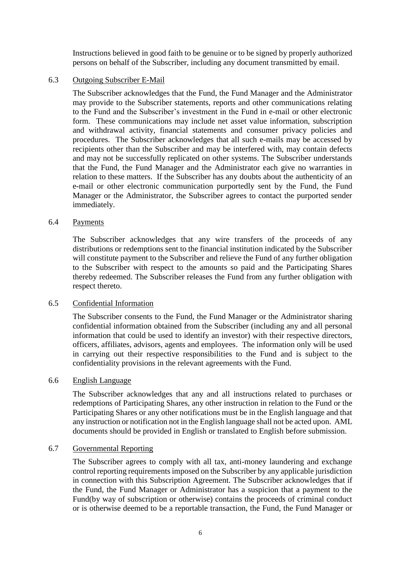Instructions believed in good faith to be genuine or to be signed by properly authorized persons on behalf of the Subscriber, including any document transmitted by email.

#### 6.3 Outgoing Subscriber E-Mail

The Subscriber acknowledges that the Fund, the Fund Manager and the Administrator may provide to the Subscriber statements, reports and other communications relating to the Fund and the Subscriber's investment in the Fund in e-mail or other electronic form. These communications may include net asset value information, subscription and withdrawal activity, financial statements and consumer privacy policies and procedures. The Subscriber acknowledges that all such e-mails may be accessed by recipients other than the Subscriber and may be interfered with, may contain defects and may not be successfully replicated on other systems. The Subscriber understands that the Fund, the Fund Manager and the Administrator each give no warranties in relation to these matters. If the Subscriber has any doubts about the authenticity of an e-mail or other electronic communication purportedly sent by the Fund, the Fund Manager or the Administrator, the Subscriber agrees to contact the purported sender immediately.

#### 6.4 Payments

The Subscriber acknowledges that any wire transfers of the proceeds of any distributions or redemptions sent to the financial institution indicated by the Subscriber will constitute payment to the Subscriber and relieve the Fund of any further obligation to the Subscriber with respect to the amounts so paid and the Participating Shares thereby redeemed. The Subscriber releases the Fund from any further obligation with respect thereto.

#### 6.5 Confidential Information

The Subscriber consents to the Fund, the Fund Manager or the Administrator sharing confidential information obtained from the Subscriber (including any and all personal information that could be used to identify an investor) with their respective directors, officers, affiliates, advisors, agents and employees. The information only will be used in carrying out their respective responsibilities to the Fund and is subject to the confidentiality provisions in the relevant agreements with the Fund.

#### 6.6 English Language

The Subscriber acknowledges that any and all instructions related to purchases or redemptions of Participating Shares, any other instruction in relation to the Fund or the Participating Shares or any other notifications must be in the English language and that any instruction or notification not in the English language shall not be acted upon. AML documents should be provided in English or translated to English before submission.

#### 6.7 Governmental Reporting

The Subscriber agrees to comply with all tax, anti-money laundering and exchange control reporting requirements imposed on the Subscriber by any applicable jurisdiction in connection with this Subscription Agreement. The Subscriber acknowledges that if the Fund, the Fund Manager or Administrator has a suspicion that a payment to the Fund(by way of subscription or otherwise) contains the proceeds of criminal conduct or is otherwise deemed to be a reportable transaction, the Fund, the Fund Manager or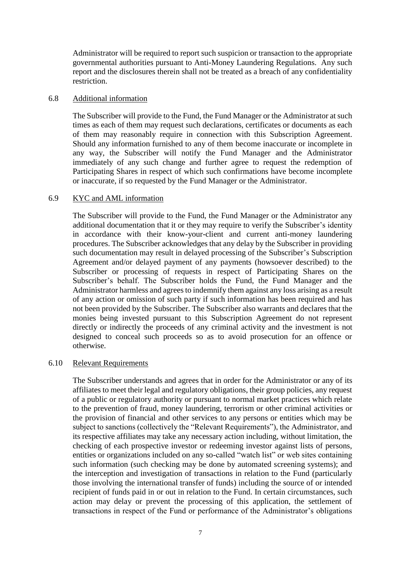Administrator will be required to report such suspicion or transaction to the appropriate governmental authorities pursuant to Anti-Money Laundering Regulations. Any such report and the disclosures therein shall not be treated as a breach of any confidentiality restriction.

#### 6.8 Additional information

The Subscriber will provide to the Fund, the Fund Manager or the Administrator at such times as each of them may request such declarations, certificates or documents as each of them may reasonably require in connection with this Subscription Agreement. Should any information furnished to any of them become inaccurate or incomplete in any way, the Subscriber will notify the Fund Manager and the Administrator immediately of any such change and further agree to request the redemption of Participating Shares in respect of which such confirmations have become incomplete or inaccurate, if so requested by the Fund Manager or the Administrator.

#### 6.9 KYC and AML information

The Subscriber will provide to the Fund, the Fund Manager or the Administrator any additional documentation that it or they may require to verify the Subscriber's identity in accordance with their know-your-client and current anti-money laundering procedures. The Subscriber acknowledges that any delay by the Subscriber in providing such documentation may result in delayed processing of the Subscriber's Subscription Agreement and/or delayed payment of any payments (howsoever described) to the Subscriber or processing of requests in respect of Participating Shares on the Subscriber's behalf. The Subscriber holds the Fund, the Fund Manager and the Administrator harmless and agrees to indemnify them against any loss arising as a result of any action or omission of such party if such information has been required and has not been provided by the Subscriber. The Subscriber also warrants and declares that the monies being invested pursuant to this Subscription Agreement do not represent directly or indirectly the proceeds of any criminal activity and the investment is not designed to conceal such proceeds so as to avoid prosecution for an offence or otherwise.

#### 6.10 Relevant Requirements

The Subscriber understands and agrees that in order for the Administrator or any of its affiliates to meet their legal and regulatory obligations, their group policies, any request of a public or regulatory authority or pursuant to normal market practices which relate to the prevention of fraud, money laundering, terrorism or other criminal activities or the provision of financial and other services to any persons or entities which may be subject to sanctions (collectively the "Relevant Requirements"), the Administrator, and its respective affiliates may take any necessary action including, without limitation, the checking of each prospective investor or redeeming investor against lists of persons, entities or organizations included on any so-called "watch list" or web sites containing such information (such checking may be done by automated screening systems); and the interception and investigation of transactions in relation to the Fund (particularly those involving the international transfer of funds) including the source of or intended recipient of funds paid in or out in relation to the Fund. In certain circumstances, such action may delay or prevent the processing of this application, the settlement of transactions in respect of the Fund or performance of the Administrator's obligations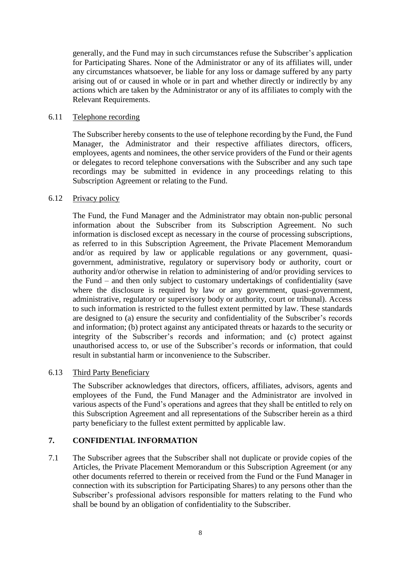generally, and the Fund may in such circumstances refuse the Subscriber's application for Participating Shares. None of the Administrator or any of its affiliates will, under any circumstances whatsoever, be liable for any loss or damage suffered by any party arising out of or caused in whole or in part and whether directly or indirectly by any actions which are taken by the Administrator or any of its affiliates to comply with the Relevant Requirements.

#### 6.11 Telephone recording

The Subscriber hereby consents to the use of telephone recording by the Fund, the Fund Manager, the Administrator and their respective affiliates directors, officers, employees, agents and nominees, the other service providers of the Fund or their agents or delegates to record telephone conversations with the Subscriber and any such tape recordings may be submitted in evidence in any proceedings relating to this Subscription Agreement or relating to the Fund.

## 6.12 Privacy policy

The Fund, the Fund Manager and the Administrator may obtain non-public personal information about the Subscriber from its Subscription Agreement. No such information is disclosed except as necessary in the course of processing subscriptions, as referred to in this Subscription Agreement, the Private Placement Memorandum and/or as required by law or applicable regulations or any government, quasigovernment, administrative, regulatory or supervisory body or authority, court or authority and/or otherwise in relation to administering of and/or providing services to the Fund – and then only subject to customary undertakings of confidentiality (save where the disclosure is required by law or any government, quasi-government, administrative, regulatory or supervisory body or authority, court or tribunal). Access to such information is restricted to the fullest extent permitted by law. These standards are designed to (a) ensure the security and confidentiality of the Subscriber's records and information; (b) protect against any anticipated threats or hazards to the security or integrity of the Subscriber's records and information; and (c) protect against unauthorised access to, or use of the Subscriber's records or information, that could result in substantial harm or inconvenience to the Subscriber.

#### 6.13 Third Party Beneficiary

The Subscriber acknowledges that directors, officers, affiliates, advisors, agents and employees of the Fund, the Fund Manager and the Administrator are involved in various aspects of the Fund's operations and agrees that they shall be entitled to rely on this Subscription Agreement and all representations of the Subscriber herein as a third party beneficiary to the fullest extent permitted by applicable law.

# **7. CONFIDENTIAL INFORMATION**

7.1 The Subscriber agrees that the Subscriber shall not duplicate or provide copies of the Articles, the Private Placement Memorandum or this Subscription Agreement (or any other documents referred to therein or received from the Fund or the Fund Manager in connection with its subscription for Participating Shares) to any persons other than the Subscriber's professional advisors responsible for matters relating to the Fund who shall be bound by an obligation of confidentiality to the Subscriber.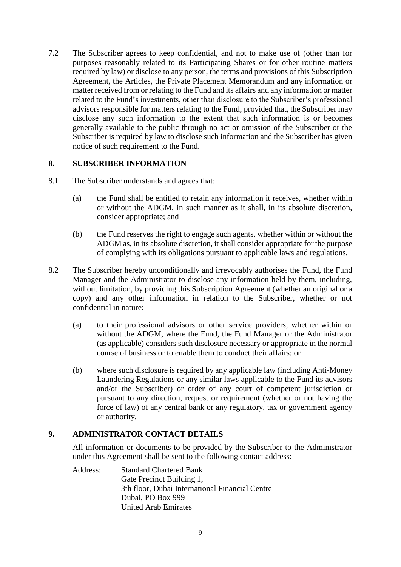7.2 The Subscriber agrees to keep confidential, and not to make use of (other than for purposes reasonably related to its Participating Shares or for other routine matters required by law) or disclose to any person, the terms and provisions of this Subscription Agreement, the Articles, the Private Placement Memorandum and any information or matter received from or relating to the Fund and its affairs and any information or matter related to the Fund's investments, other than disclosure to the Subscriber's professional advisors responsible for matters relating to the Fund; provided that, the Subscriber may disclose any such information to the extent that such information is or becomes generally available to the public through no act or omission of the Subscriber or the Subscriber is required by law to disclose such information and the Subscriber has given notice of such requirement to the Fund.

# **8. SUBSCRIBER INFORMATION**

- 8.1 The Subscriber understands and agrees that:
	- (a) the Fund shall be entitled to retain any information it receives, whether within or without the ADGM, in such manner as it shall, in its absolute discretion, consider appropriate; and
	- (b) the Fund reserves the right to engage such agents, whether within or without the ADGM as, in its absolute discretion, it shall consider appropriate for the purpose of complying with its obligations pursuant to applicable laws and regulations.
- 8.2 The Subscriber hereby unconditionally and irrevocably authorises the Fund, the Fund Manager and the Administrator to disclose any information held by them, including, without limitation, by providing this Subscription Agreement (whether an original or a copy) and any other information in relation to the Subscriber, whether or not confidential in nature:
	- (a) to their professional advisors or other service providers, whether within or without the ADGM, where the Fund, the Fund Manager or the Administrator (as applicable) considers such disclosure necessary or appropriate in the normal course of business or to enable them to conduct their affairs; or
	- (b) where such disclosure is required by any applicable law (including Anti-Money Laundering Regulations or any similar laws applicable to the Fund its advisors and/or the Subscriber) or order of any court of competent jurisdiction or pursuant to any direction, request or requirement (whether or not having the force of law) of any central bank or any regulatory, tax or government agency or authority.

# **9. ADMINISTRATOR CONTACT DETAILS**

All information or documents to be provided by the Subscriber to the Administrator under this Agreement shall be sent to the following contact address:

Address: Standard Chartered Bank Gate Precinct Building 1, 3th floor, Dubai International Financial Centre Dubai, PO Box 999 United Arab Emirates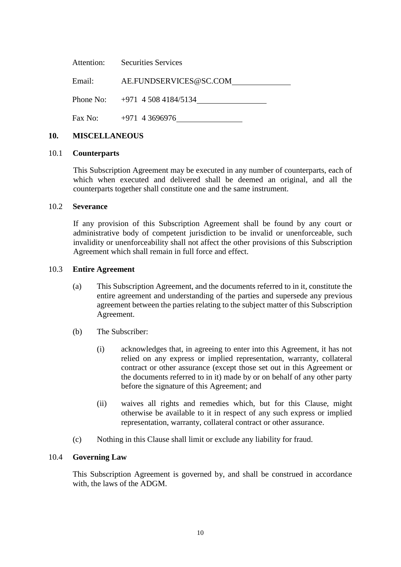|        | Attention: Securities Services   |
|--------|----------------------------------|
| Email: | AE.FUNDSERVICES@SC.COM           |
|        | Phone No: $+971$ 4 508 4184/5134 |
|        | Fax No: $+971$ 4 3696976         |

#### **10. MISCELLANEOUS**

#### 10.1 **Counterparts**

This Subscription Agreement may be executed in any number of counterparts, each of which when executed and delivered shall be deemed an original, and all the counterparts together shall constitute one and the same instrument.

#### 10.2 **Severance**

If any provision of this Subscription Agreement shall be found by any court or administrative body of competent jurisdiction to be invalid or unenforceable, such invalidity or unenforceability shall not affect the other provisions of this Subscription Agreement which shall remain in full force and effect.

#### 10.3 **Entire Agreement**

- (a) This Subscription Agreement, and the documents referred to in it, constitute the entire agreement and understanding of the parties and supersede any previous agreement between the parties relating to the subject matter of this Subscription Agreement.
- (b) The Subscriber:
	- (i) acknowledges that, in agreeing to enter into this Agreement, it has not relied on any express or implied representation, warranty, collateral contract or other assurance (except those set out in this Agreement or the documents referred to in it) made by or on behalf of any other party before the signature of this Agreement; and
	- (ii) waives all rights and remedies which, but for this Clause, might otherwise be available to it in respect of any such express or implied representation, warranty, collateral contract or other assurance.
- (c) Nothing in this Clause shall limit or exclude any liability for fraud.

#### 10.4 **Governing Law**

This Subscription Agreement is governed by, and shall be construed in accordance with, the laws of the ADGM.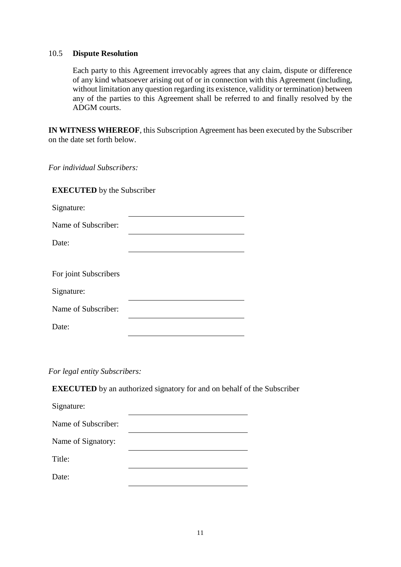#### 10.5 **Dispute Resolution**

Each party to this Agreement irrevocably agrees that any claim, dispute or difference of any kind whatsoever arising out of or in connection with this Agreement (including, without limitation any question regarding its existence, validity or termination) between any of the parties to this Agreement shall be referred to and finally resolved by the ADGM courts.

**IN WITNESS WHEREOF**, this Subscription Agreement has been executed by the Subscriber on the date set forth below.

*For individual Subscribers:* 

| <b>EXECUTED</b> by the Subscriber |  |  |
|-----------------------------------|--|--|
| Signature:                        |  |  |
| Name of Subscriber:               |  |  |
| Date:                             |  |  |
|                                   |  |  |
| For joint Subscribers             |  |  |
| Signature:                        |  |  |
| Name of Subscriber:               |  |  |
| Date:                             |  |  |

*For legal entity Subscribers:* 

**EXECUTED** by an authorized signatory for and on behalf of the Subscriber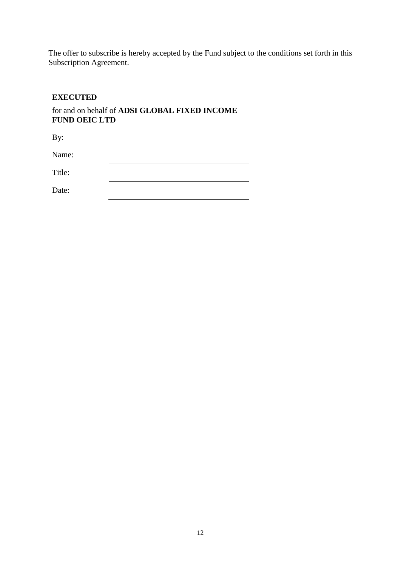The offer to subscribe is hereby accepted by the Fund subject to the conditions set forth in this Subscription Agreement.

# **EXECUTED**

for and on behalf of **ADSI GLOBAL FIXED INCOME FUND OEIC LTD**

| By:    |  |
|--------|--|
| Name:  |  |
| Title: |  |
| Date:  |  |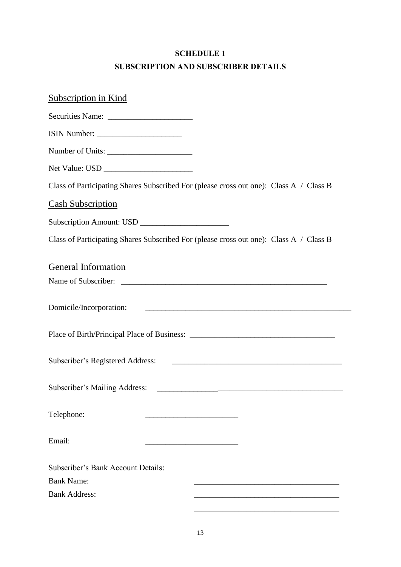# **SCHEDULE 1 SUBSCRIPTION AND SUBSCRIBER DETAILS**

| <b>Subscription in Kind</b>                                                            |
|----------------------------------------------------------------------------------------|
|                                                                                        |
|                                                                                        |
| Number of Units:                                                                       |
|                                                                                        |
| Class of Participating Shares Subscribed For (please cross out one): Class A / Class B |
| <b>Cash Subscription</b>                                                               |
|                                                                                        |
| Class of Participating Shares Subscribed For (please cross out one): Class A / Class B |
| <b>General Information</b>                                                             |
|                                                                                        |
| Domicile/Incorporation:                                                                |
|                                                                                        |
| Subscriber's Registered Address:                                                       |
| Subscriber's Mailing Address:                                                          |
| Telephone:                                                                             |
| Email:                                                                                 |
| Subscriber's Bank Account Details:                                                     |
| <b>Bank Name:</b>                                                                      |
| <b>Bank Address:</b>                                                                   |
|                                                                                        |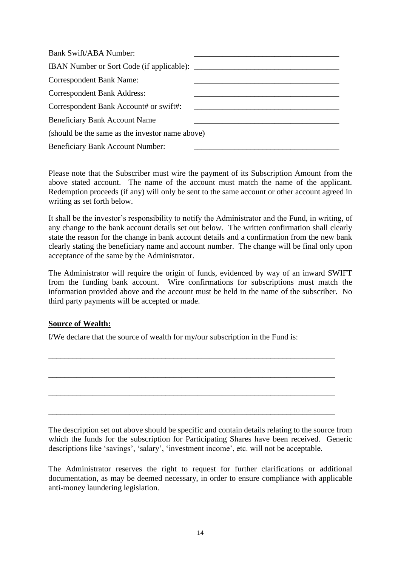| Bank Swift/ABA Number:                             |  |
|----------------------------------------------------|--|
| IBAN Number or Sort Code (if applicable): ________ |  |
| <b>Correspondent Bank Name:</b>                    |  |
| <b>Correspondent Bank Address:</b>                 |  |
| Correspondent Bank Account# or swift#:             |  |
| <b>Beneficiary Bank Account Name</b>               |  |
| (should be the same as the investor name above)    |  |
| <b>Beneficiary Bank Account Number:</b>            |  |

Please note that the Subscriber must wire the payment of its Subscription Amount from the above stated account. The name of the account must match the name of the applicant. Redemption proceeds (if any) will only be sent to the same account or other account agreed in writing as set forth below.

It shall be the investor's responsibility to notify the Administrator and the Fund, in writing, of any change to the bank account details set out below. The written confirmation shall clearly state the reason for the change in bank account details and a confirmation from the new bank clearly stating the beneficiary name and account number. The change will be final only upon acceptance of the same by the Administrator.

The Administrator will require the origin of funds, evidenced by way of an inward SWIFT from the funding bank account. Wire confirmations for subscriptions must match the information provided above and the account must be held in the name of the subscriber. No third party payments will be accepted or made.

\_\_\_\_\_\_\_\_\_\_\_\_\_\_\_\_\_\_\_\_\_\_\_\_\_\_\_\_\_\_\_\_\_\_\_\_\_\_\_\_\_\_\_\_\_\_\_\_\_\_\_\_\_\_\_\_\_\_\_\_\_\_\_\_\_\_\_\_\_\_\_

\_\_\_\_\_\_\_\_\_\_\_\_\_\_\_\_\_\_\_\_\_\_\_\_\_\_\_\_\_\_\_\_\_\_\_\_\_\_\_\_\_\_\_\_\_\_\_\_\_\_\_\_\_\_\_\_\_\_\_\_\_\_\_\_\_\_\_\_\_\_\_

\_\_\_\_\_\_\_\_\_\_\_\_\_\_\_\_\_\_\_\_\_\_\_\_\_\_\_\_\_\_\_\_\_\_\_\_\_\_\_\_\_\_\_\_\_\_\_\_\_\_\_\_\_\_\_\_\_\_\_\_\_\_\_\_\_\_\_\_\_\_\_

\_\_\_\_\_\_\_\_\_\_\_\_\_\_\_\_\_\_\_\_\_\_\_\_\_\_\_\_\_\_\_\_\_\_\_\_\_\_\_\_\_\_\_\_\_\_\_\_\_\_\_\_\_\_\_\_\_\_\_\_\_\_\_\_\_\_\_\_\_\_\_

# **Source of Wealth:**

I/We declare that the source of wealth for my/our subscription in the Fund is:

The description set out above should be specific and contain details relating to the source from which the funds for the subscription for Participating Shares have been received. Generic descriptions like 'savings', 'salary', 'investment income', etc. will not be acceptable.

The Administrator reserves the right to request for further clarifications or additional documentation, as may be deemed necessary, in order to ensure compliance with applicable anti-money laundering legislation.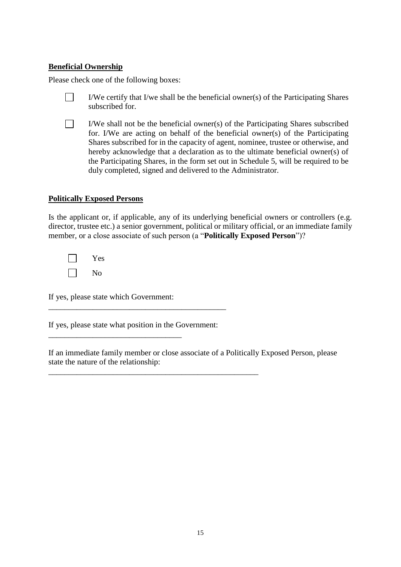# **Beneficial Ownership**

Please check one of the following boxes:

- $\Box$ I/We certify that I/we shall be the beneficial owner(s) of the Participating Shares subscribed for.
- П I/We shall not be the beneficial owner(s) of the Participating Shares subscribed for. I/We are acting on behalf of the beneficial owner(s) of the Participating Shares subscribed for in the capacity of agent, nominee, trustee or otherwise, and hereby acknowledge that a declaration as to the ultimate beneficial owner(s) of the Participating Shares, in the form set out in Schedule 5, will be required to be duly completed, signed and delivered to the Administrator.

## **Politically Exposed Persons**

Is the applicant or, if applicable, any of its underlying beneficial owners or controllers (e.g. director, trustee etc.) a senior government, political or military official, or an immediate family member, or a close associate of such person (a "**Politically Exposed Person**")?

 $\Box$ Yes  $\Box$ No

If yes, please state which Government:

\_\_\_\_\_\_\_\_\_\_\_\_\_\_\_\_\_\_\_\_\_\_\_\_\_\_\_\_\_\_\_\_\_

If yes, please state what position in the Government:

\_\_\_\_\_\_\_\_\_\_\_\_\_\_\_\_\_\_\_\_\_\_\_\_\_\_\_\_\_\_\_\_\_\_\_\_\_\_\_\_\_\_\_\_\_\_\_\_\_\_\_\_

\_\_\_\_\_\_\_\_\_\_\_\_\_\_\_\_\_\_\_\_\_\_\_\_\_\_\_\_\_\_\_\_\_\_\_\_\_\_\_\_\_\_\_\_

If an immediate family member or close associate of a Politically Exposed Person, please state the nature of the relationship: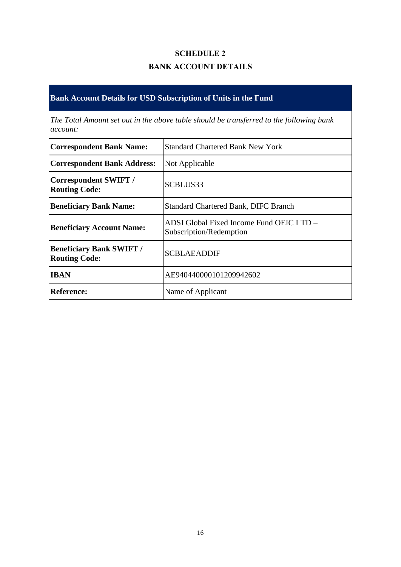# **SCHEDULE 2 BANK ACCOUNT DETAILS**

# **Bank Account Details for USD Subscription of Units in the Fund**

*The Total Amount set out in the above table should be transferred to the following bank account:*

| <b>Correspondent Bank Name:</b>                         | <b>Standard Chartered Bank New York</b>                             |  |
|---------------------------------------------------------|---------------------------------------------------------------------|--|
| <b>Correspondent Bank Address:</b>                      | Not Applicable                                                      |  |
| <b>Correspondent SWIFT /</b><br><b>Routing Code:</b>    | SCBLUS33                                                            |  |
| <b>Beneficiary Bank Name:</b>                           | <b>Standard Chartered Bank, DIFC Branch</b>                         |  |
| <b>Beneficiary Account Name:</b>                        | ADSI Global Fixed Income Fund OEIC LTD –<br>Subscription/Redemption |  |
| <b>Beneficiary Bank SWIFT /</b><br><b>Routing Code:</b> | <b>SCBLAEADDIF</b>                                                  |  |
| <b>IBAN</b>                                             | AE940440000101209942602                                             |  |
| <b>Reference:</b>                                       | Name of Applicant                                                   |  |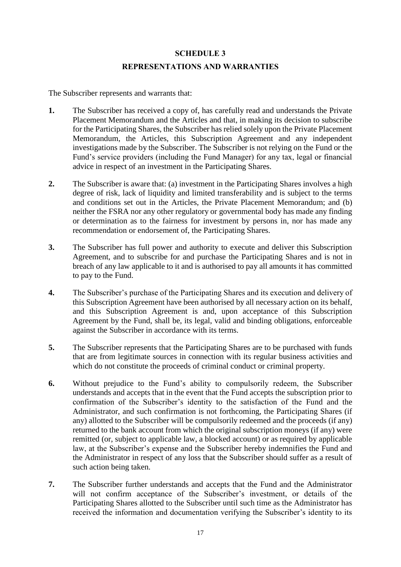# **SCHEDULE 3 REPRESENTATIONS AND WARRANTIES**

The Subscriber represents and warrants that:

- **1.** The Subscriber has received a copy of, has carefully read and understands the Private Placement Memorandum and the Articles and that, in making its decision to subscribe for the Participating Shares, the Subscriber has relied solely upon the Private Placement Memorandum, the Articles, this Subscription Agreement and any independent investigations made by the Subscriber. The Subscriber is not relying on the Fund or the Fund's service providers (including the Fund Manager) for any tax, legal or financial advice in respect of an investment in the Participating Shares.
- **2.** The Subscriber is aware that: (a) investment in the Participating Shares involves a high degree of risk, lack of liquidity and limited transferability and is subject to the terms and conditions set out in the Articles, the Private Placement Memorandum; and (b) neither the FSRA nor any other regulatory or governmental body has made any finding or determination as to the fairness for investment by persons in, nor has made any recommendation or endorsement of, the Participating Shares.
- **3.** The Subscriber has full power and authority to execute and deliver this Subscription Agreement, and to subscribe for and purchase the Participating Shares and is not in breach of any law applicable to it and is authorised to pay all amounts it has committed to pay to the Fund.
- **4.** The Subscriber's purchase of the Participating Shares and its execution and delivery of this Subscription Agreement have been authorised by all necessary action on its behalf, and this Subscription Agreement is and, upon acceptance of this Subscription Agreement by the Fund, shall be, its legal, valid and binding obligations, enforceable against the Subscriber in accordance with its terms.
- **5.** The Subscriber represents that the Participating Shares are to be purchased with funds that are from legitimate sources in connection with its regular business activities and which do not constitute the proceeds of criminal conduct or criminal property.
- **6.** Without prejudice to the Fund's ability to compulsorily redeem, the Subscriber understands and accepts that in the event that the Fund accepts the subscription prior to confirmation of the Subscriber's identity to the satisfaction of the Fund and the Administrator, and such confirmation is not forthcoming, the Participating Shares (if any) allotted to the Subscriber will be compulsorily redeemed and the proceeds (if any) returned to the bank account from which the original subscription moneys (if any) were remitted (or, subject to applicable law, a blocked account) or as required by applicable law, at the Subscriber's expense and the Subscriber hereby indemnifies the Fund and the Administrator in respect of any loss that the Subscriber should suffer as a result of such action being taken.
- **7.** The Subscriber further understands and accepts that the Fund and the Administrator will not confirm acceptance of the Subscriber's investment, or details of the Participating Shares allotted to the Subscriber until such time as the Administrator has received the information and documentation verifying the Subscriber's identity to its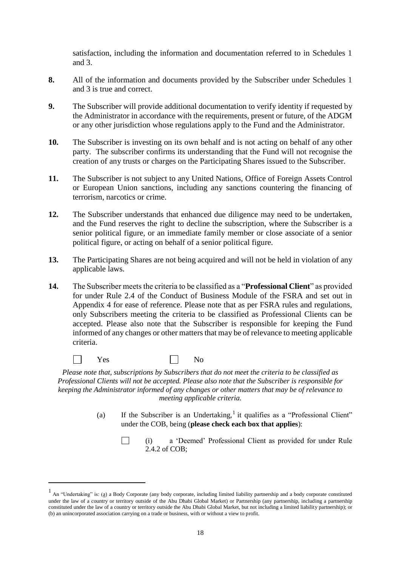satisfaction, including the information and documentation referred to in Schedules 1 and 3.

- **8.** All of the information and documents provided by the Subscriber under Schedules 1 and 3 is true and correct.
- **9.** The Subscriber will provide additional documentation to verify identity if requested by the Administrator in accordance with the requirements, present or future, of the ADGM or any other jurisdiction whose regulations apply to the Fund and the Administrator.
- **10.** The Subscriber is investing on its own behalf and is not acting on behalf of any other party. The subscriber confirms its understanding that the Fund will not recognise the creation of any trusts or charges on the Participating Shares issued to the Subscriber.
- **11.** The Subscriber is not subject to any United Nations, Office of Foreign Assets Control or European Union sanctions, including any sanctions countering the financing of terrorism, narcotics or crime.
- **12.** The Subscriber understands that enhanced due diligence may need to be undertaken, and the Fund reserves the right to decline the subscription, where the Subscriber is a senior political figure, or an immediate family member or close associate of a senior political figure, or acting on behalf of a senior political figure.
- **13.** The Participating Shares are not being acquired and will not be held in violation of any applicable laws.
- **14.** The Subscriber meets the criteria to be classified as a "**Professional Client**" as provided for under Rule 2.4 of the Conduct of Business Module of the FSRA and set out in Appendix 4 for ease of reference. Please note that as per FSRA rules and regulations, only Subscribers meeting the criteria to be classified as Professional Clients can be accepted. Please also note that the Subscriber is responsible for keeping the Fund informed of any changes or other matters that may be of relevance to meeting applicable criteria.
	- $\Box$ Yes No

 $\Box$ 

<u>.</u>

*Please note that, subscriptions by Subscribers that do not meet the criteria to be classified as Professional Clients will not be accepted. Please also note that the Subscriber is responsible for keeping the Administrator informed of any changes or other matters that may be of relevance to meeting applicable criteria.* 

> (a) If the Subscriber is an Undertaking,<sup>1</sup> it qualifies as a "Professional Client" under the COB, being (**please check each box that applies**):

> > (i) a 'Deemed' Professional Client as provided for under Rule 2.4.2 of COB;

<sup>&</sup>lt;sup>1</sup> An "Undertaking" is: (a) a Body Corporate (any body corporate, including limited liability partnership and a body corporate constituted under the law of a country or territory outside of the Abu Dhabi Global Market) or Partnership (any partnership, including a partnership constituted under the law of a country or territory outside the Abu Dhabi Global Market, but not including a limited liability partnership); or (b) an unincorporated association carrying on a trade or business, with or without a view to profit.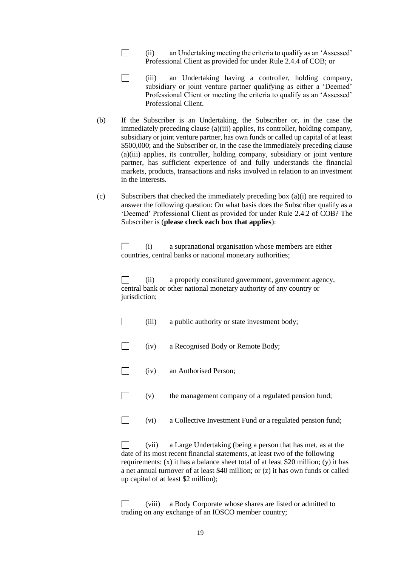- $\Box$ (ii) an Undertaking meeting the criteria to qualify as an 'Assessed' Professional Client as provided for under Rule 2.4.4 of COB; or
- $\Box$ (iii) an Undertaking having a controller, holding company, subsidiary or joint venture partner qualifying as either a 'Deemed' Professional Client or meeting the criteria to qualify as an 'Assessed' Professional Client.
- (b) If the Subscriber is an Undertaking, the Subscriber or, in the case the immediately preceding clause (a)(iii) applies, its controller, holding company, subsidiary or joint venture partner, has own funds or called up capital of at least \$500,000; and the Subscriber or, in the case the immediately preceding clause (a)(iii) applies, its controller, holding company, subsidiary or joint venture partner, has sufficient experience of and fully understands the financial markets, products, transactions and risks involved in relation to an investment in the Interests.
- (c) Subscribers that checked the immediately preceding box (a)(i) are required to answer the following question: On what basis does the Subscriber qualify as a 'Deemed' Professional Client as provided for under Rule 2.4.2 of COB? The Subscriber is (**please check each box that applies**):

(i) a supranational organisation whose members are either П countries, central banks or national monetary authorities;

 $\Box$ (ii) a properly constituted government, government agency, central bank or other national monetary authority of any country or jurisdiction;

- $\Box$ (iii) a public authority or state investment body;
- $\Box$ (iv) a Recognised Body or Remote Body;
- $\Box$ (iv) an Authorised Person;
- $\Box$ (v) the management company of a regulated pension fund;
- $\Box$ (vi) a Collective Investment Fund or a regulated pension fund;

П (vii) a Large Undertaking (being a person that has met, as at the date of its most recent financial statements, at least two of the following requirements:  $(x)$  it has a balance sheet total of at least \$20 million;  $(y)$  it has a net annual turnover of at least \$40 million; or (z) it has own funds or called up capital of at least \$2 million);

П (viii) a Body Corporate whose shares are listed or admitted to trading on any exchange of an IOSCO member country;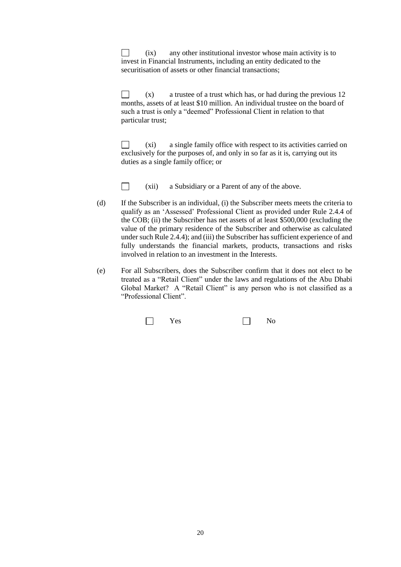$\Box$ (ix) any other institutional investor whose main activity is to invest in Financial Instruments, including an entity dedicated to the securitisation of assets or other financial transactions;

(x) a trustee of a trust which has, or had during the previous 12 П months, assets of at least \$10 million. An individual trustee on the board of such a trust is only a "deemed" Professional Client in relation to that particular trust;

П (xi) a single family office with respect to its activities carried on exclusively for the purposes of, and only in so far as it is, carrying out its duties as a single family office; or



(xii) a Subsidiary or a Parent of any of the above.

- (d) If the Subscriber is an individual, (i) the Subscriber meets meets the criteria to qualify as an 'Assessed' Professional Client as provided under Rule 2.4.4 of the COB; (ii) the Subscriber has net assets of at least \$500,000 (excluding the value of the primary residence of the Subscriber and otherwise as calculated under such Rule 2.4.4); and (iii) the Subscriber has sufficient experience of and fully understands the financial markets, products, transactions and risks involved in relation to an investment in the Interests.
- (e) For all Subscribers, does the Subscriber confirm that it does not elect to be treated as a "Retail Client" under the laws and regulations of the Abu Dhabi Global Market? A "Retail Client" is any person who is not classified as a "Professional Client".

|  | es<br>ັັ |  | N٥<br>- |
|--|----------|--|---------|
|--|----------|--|---------|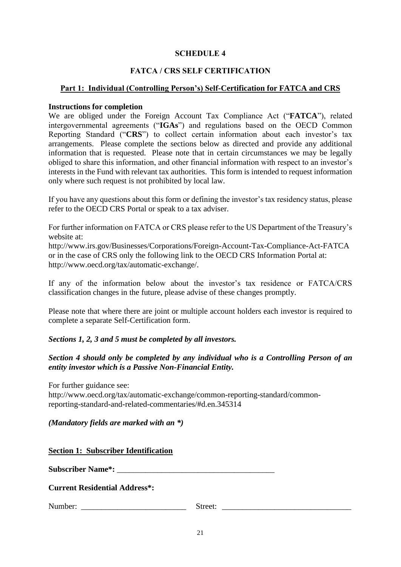### **SCHEDULE 4**

## **FATCA / CRS SELF CERTIFICATION**

#### **Part 1: Individual (Controlling Person's) Self-Certification for FATCA and CRS**

#### **Instructions for completion**

We are obliged under the Foreign Account Tax Compliance Act ("**FATCA**"), related intergovernmental agreements ("**IGAs**") and regulations based on the OECD Common Reporting Standard ("**CRS**") to collect certain information about each investor's tax arrangements. Please complete the sections below as directed and provide any additional information that is requested. Please note that in certain circumstances we may be legally obliged to share this information, and other financial information with respect to an investor's interests in the Fund with relevant tax authorities. This form is intended to request information only where such request is not prohibited by local law.

If you have any questions about this form or defining the investor's tax residency status, please refer to the OECD CRS Portal or speak to a tax adviser.

For further information on FATCA or CRS please refer to the US Department of the Treasury's website at:

http://www.irs.gov/Businesses/Corporations/Foreign-Account-Tax-Compliance-Act-FATCA or in the case of CRS only the following link to the OECD CRS Information Portal at: http://www.oecd.org/tax/automatic-exchange/.

If any of the information below about the investor's tax residence or FATCA/CRS classification changes in the future, please advise of these changes promptly.

Please note that where there are joint or multiple account holders each investor is required to complete a separate Self-Certification form.

#### *Sections 1, 2, 3 and 5 must be completed by all investors.*

## *Section 4 should only be completed by any individual who is a Controlling Person of an entity investor which is a Passive Non-Financial Entity.*

For further guidance see:

http://www.oecd.org/tax/automatic-exchange/common-reporting-standard/commonreporting-standard-and-related-commentaries/#d.en.345314

#### *(Mandatory fields are marked with an \*)*

|  | <b>Section 1: Subscriber Identification</b> |
|--|---------------------------------------------|
|  |                                             |

**Subscriber Name\*:** \_\_\_\_\_\_\_\_\_\_\_\_\_\_\_\_\_\_\_\_\_\_\_\_\_\_\_\_\_\_\_\_\_\_\_\_\_\_\_

#### **Current Residential Address\*:**

Number: \_\_\_\_\_\_\_\_\_\_\_\_\_\_\_\_\_\_\_\_\_\_\_\_\_\_ Street: \_\_\_\_\_\_\_\_\_\_\_\_\_\_\_\_\_\_\_\_\_\_\_\_\_\_\_\_\_\_\_\_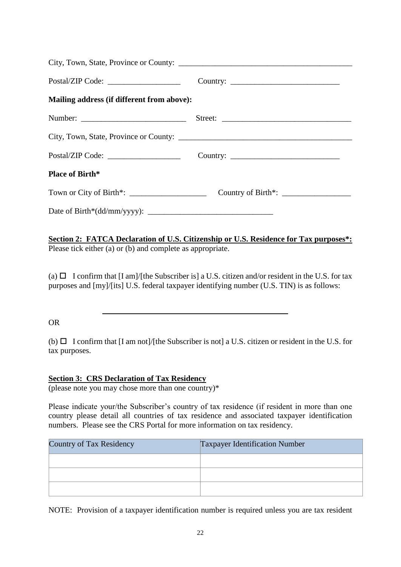| Mailing address (if different from above): |                                                                               |
|--------------------------------------------|-------------------------------------------------------------------------------|
|                                            | Street:                                                                       |
|                                            |                                                                               |
|                                            |                                                                               |
| <b>Place of Birth*</b>                     |                                                                               |
|                                            | Country of Birth*: $\_\_\_\_\_\_\_\_\_\_\_\_\_\_\_\_\_\_\_\_\_\_\_\_\_\_\_\_$ |
|                                            |                                                                               |

**Section 2: FATCA Declaration of U.S. Citizenship or U.S. Residence for Tax purposes\*:** Please tick either (a) or (b) and complete as appropriate.

(a)  $\Box$  I confirm that [I am]/[the Subscriber is] a U.S. citizen and/or resident in the U.S. for tax purposes and [my]/[its] U.S. federal taxpayer identifying number (U.S. TIN) is as follows:

#### OR

(b)  $\Box$  I confirm that [I am not]/[the Subscriber is not] a U.S. citizen or resident in the U.S. for tax purposes.

## **Section 3: CRS Declaration of Tax Residency**

(please note you may chose more than one country)\*

Please indicate your/the Subscriber's country of tax residence (if resident in more than one country please detail all countries of tax residence and associated taxpayer identification numbers. Please see the CRS Portal for more information on tax residency.

| Country of Tax Residency | <b>Taxpayer Identification Number</b> |
|--------------------------|---------------------------------------|
|                          |                                       |
|                          |                                       |
|                          |                                       |

NOTE: Provision of a taxpayer identification number is required unless you are tax resident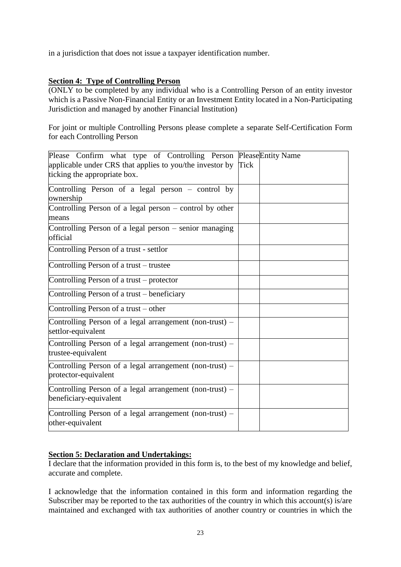in a jurisdiction that does not issue a taxpayer identification number.

# **Section 4: Type of Controlling Person**

(ONLY to be completed by any individual who is a Controlling Person of an entity investor which is a Passive Non-Financial Entity or an Investment Entity located in a Non-Participating Jurisdiction and managed by another Financial Institution)

For joint or multiple Controlling Persons please complete a separate Self-Certification Form for each Controlling Person

| Please Confirm what type of Controlling Person Please Entity Name<br>applicable under CRS that applies to you/the investor by<br>ticking the appropriate box. | Tick |  |
|---------------------------------------------------------------------------------------------------------------------------------------------------------------|------|--|
| Controlling Person of a legal person $-$ control by<br>ownership                                                                                              |      |  |
| Controlling Person of a legal person – control by other<br>means                                                                                              |      |  |
| Controlling Person of a legal person – senior managing<br>official                                                                                            |      |  |
| Controlling Person of a trust - settlor                                                                                                                       |      |  |
| Controlling Person of a trust – trustee                                                                                                                       |      |  |
| Controlling Person of a trust – protector                                                                                                                     |      |  |
| Controlling Person of a trust - beneficiary                                                                                                                   |      |  |
| Controlling Person of a trust – other                                                                                                                         |      |  |
| Controlling Person of a legal arrangement (non-trust) $-$<br>settlor-equivalent                                                                               |      |  |
| Controlling Person of a legal arrangement (non-trust) –<br>trustee-equivalent                                                                                 |      |  |
| Controlling Person of a legal arrangement (non-trust) –<br>protector-equivalent                                                                               |      |  |
| Controlling Person of a legal arrangement (non-trust) –<br>beneficiary-equivalent                                                                             |      |  |
| Controlling Person of a legal arrangement (non-trust) –<br>other-equivalent                                                                                   |      |  |

# **Section 5: Declaration and Undertakings:**

I declare that the information provided in this form is, to the best of my knowledge and belief, accurate and complete.

I acknowledge that the information contained in this form and information regarding the Subscriber may be reported to the tax authorities of the country in which this account(s) is/are maintained and exchanged with tax authorities of another country or countries in which the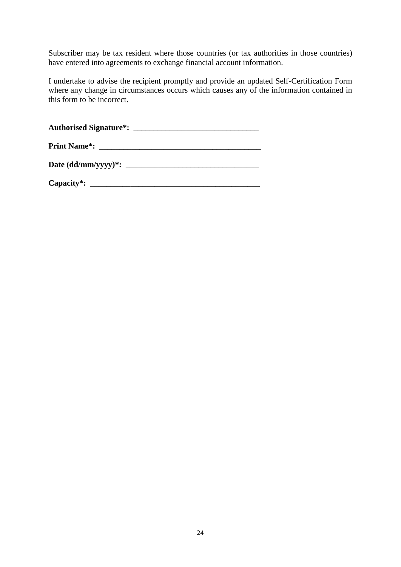Subscriber may be tax resident where those countries (or tax authorities in those countries) have entered into agreements to exchange financial account information.

I undertake to advise the recipient promptly and provide an updated Self-Certification Form where any change in circumstances occurs which causes any of the information contained in this form to be incorrect.

**Authorised Signature\*:** \_\_\_\_\_\_\_\_\_\_\_\_\_\_\_\_\_\_\_\_\_\_\_\_\_\_\_\_\_\_\_

| Date (dd/mm/yyyy)*: |  |
|---------------------|--|
|---------------------|--|

| Capacity*: |  |
|------------|--|
|------------|--|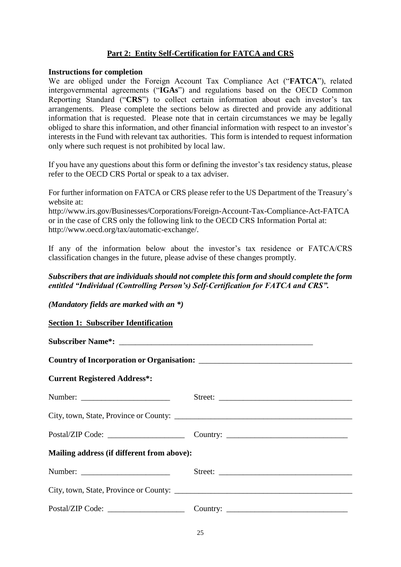# **Part 2: Entity Self-Certification for FATCA and CRS**

#### **Instructions for completion**

We are obliged under the Foreign Account Tax Compliance Act ("**FATCA**"), related intergovernmental agreements ("**IGAs**") and regulations based on the OECD Common Reporting Standard ("**CRS**") to collect certain information about each investor's tax arrangements. Please complete the sections below as directed and provide any additional information that is requested. Please note that in certain circumstances we may be legally obliged to share this information, and other financial information with respect to an investor's interests in the Fund with relevant tax authorities. This form is intended to request information only where such request is not prohibited by local law.

If you have any questions about this form or defining the investor's tax residency status, please refer to the OECD CRS Portal or speak to a tax adviser.

For further information on FATCA or CRS please refer to the US Department of the Treasury's website at:

http://www.irs.gov/Businesses/Corporations/Foreign-Account-Tax-Compliance-Act-FATCA or in the case of CRS only the following link to the OECD CRS Information Portal at: http://www.oecd.org/tax/automatic-exchange/.

If any of the information below about the investor's tax residence or FATCA/CRS classification changes in the future, please advise of these changes promptly.

#### *Subscribers that are individuals should not complete this form and should complete the form entitled "Individual (Controlling Person's) Self-Certification for FATCA and CRS".*

*(Mandatory fields are marked with an \*)*

#### **Section 1: Subscriber Identification**

| <b>Current Registered Address*:</b>        |  |  |  |
|--------------------------------------------|--|--|--|
|                                            |  |  |  |
|                                            |  |  |  |
|                                            |  |  |  |
| Mailing address (if different from above): |  |  |  |
|                                            |  |  |  |
|                                            |  |  |  |
|                                            |  |  |  |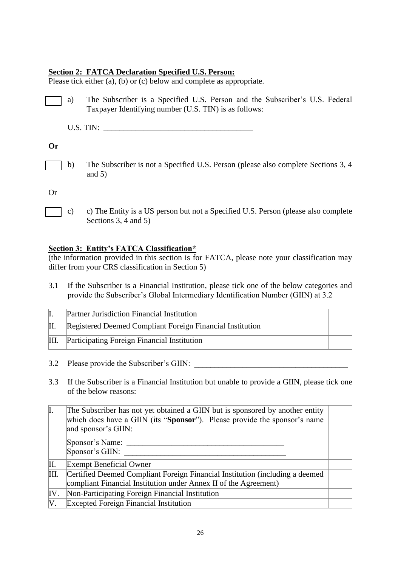#### **Section 2: FATCA Declaration Specified U.S. Person:**

Please tick either (a), (b) or (c) below and complete as appropriate.

a) The Subscriber is a Specified U.S. Person and the Subscriber's U.S. Federal Taxpayer Identifying number (U.S. TIN) is as follows:

| <b>ILS TIN</b> |  |
|----------------|--|
|----------------|--|

# **Or**

b) The Subscriber is not a Specified U.S. Person (please also complete Sections 3, 4 and  $5)$ 

Or

c) c) The Entity is a US person but not a Specified U.S. Person (please also complete Sections 3, 4 and 5)

# **Section 3: Entity's FATCA Classification\***

(the information provided in this section is for FATCA, please note your classification may differ from your CRS classification in Section 5)

3.1 If the Subscriber is a Financial Institution, please tick one of the below categories and provide the Subscriber's Global Intermediary Identification Number (GIIN) at 3.2

|    | Partner Jurisdiction Financial Institution                |  |
|----|-----------------------------------------------------------|--|
|    | Registered Deemed Compliant Foreign Financial Institution |  |
| Ш. | Participating Foreign Financial Institution               |  |

3.2 Please provide the Subscriber's GIIN:

3.3 If the Subscriber is a Financial Institution but unable to provide a GIIN, please tick one of the below reasons:

| I.   | The Subscriber has not yet obtained a GIIN but is sponsored by another entity<br>which does have a GIIN (its "Sponsor"). Please provide the sponsor's name<br>and sponsor's GIIN: |  |
|------|-----------------------------------------------------------------------------------------------------------------------------------------------------------------------------------|--|
|      | Sponsor's Name:<br>Sponsor's GIIN:                                                                                                                                                |  |
| П.   | <b>Exempt Beneficial Owner</b>                                                                                                                                                    |  |
| III. | Certified Deemed Compliant Foreign Financial Institution (including a deemed<br>compliant Financial Institution under Annex II of the Agreement)                                  |  |
| IV.  | Non-Participating Foreign Financial Institution                                                                                                                                   |  |
| V.   | <b>Excepted Foreign Financial Institution</b>                                                                                                                                     |  |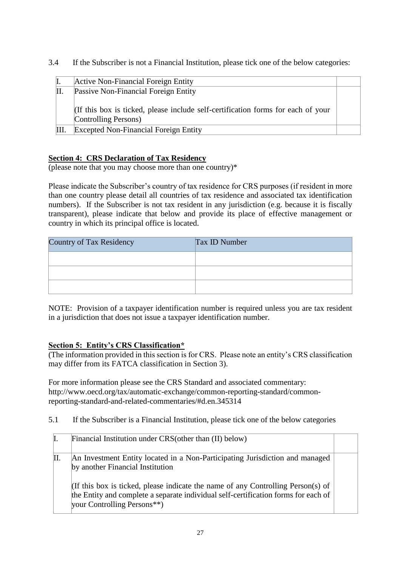3.4 If the Subscriber is not a Financial Institution, please tick one of the below categories:

|     | Active Non-Financial Foreign Entity                                                                      |  |
|-----|----------------------------------------------------------------------------------------------------------|--|
| II. | Passive Non-Financial Foreign Entity                                                                     |  |
|     | (If this box is ticked, please include self-certification forms for each of your<br>Controlling Persons) |  |
|     | <b>Excepted Non-Financial Foreign Entity</b>                                                             |  |

# **Section 4: CRS Declaration of Tax Residency**

(please note that you may choose more than one country)\*

Please indicate the Subscriber's country of tax residence for CRS purposes (if resident in more than one country please detail all countries of tax residence and associated tax identification numbers). If the Subscriber is not tax resident in any jurisdiction (e.g. because it is fiscally transparent), please indicate that below and provide its place of effective management or country in which its principal office is located.

| Country of Tax Residency | <b>Tax ID Number</b> |
|--------------------------|----------------------|
|                          |                      |
|                          |                      |
|                          |                      |

NOTE: Provision of a taxpayer identification number is required unless you are tax resident in a jurisdiction that does not issue a taxpayer identification number.

# **Section 5: Entity's CRS Classification\***

(The information provided in this section is for CRS. Please note an entity's CRS classification may differ from its FATCA classification in Section 3).

For more information please see the CRS Standard and associated commentary: http://www.oecd.org/tax/automatic-exchange/common-reporting-standard/commonreporting-standard-and-related-commentaries/#d.en.345314

5.1 If the Subscriber is a Financial Institution, please tick one of the below categories

| I.  | Financial Institution under CRS (other than (II) below)                                                                                                                                              |  |
|-----|------------------------------------------------------------------------------------------------------------------------------------------------------------------------------------------------------|--|
| II. | An Investment Entity located in a Non-Participating Jurisdiction and managed<br>by another Financial Institution                                                                                     |  |
|     | If this box is ticked, please indicate the name of any Controlling Person(s) of<br>the Entity and complete a separate individual self-certification forms for each of<br>your Controlling Persons**) |  |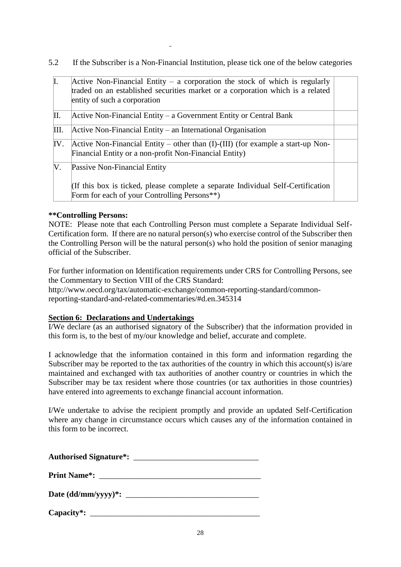5.2 If the Subscriber is a Non-Financial Institution, please tick one of the below categories

| I.   | Active Non-Financial Entity – a corporation the stock of which is regularly<br>traded on an established securities market or a corporation which is a related<br>entity of such a corporation |  |
|------|-----------------------------------------------------------------------------------------------------------------------------------------------------------------------------------------------|--|
| П.   | Active Non-Financial Entity – a Government Entity or Central Bank                                                                                                                             |  |
| III. | $\Delta$ Active Non-Financial Entity – an International Organisation                                                                                                                          |  |
| IV.  | Active Non-Financial Entity – other than $(I)$ - $(III)$ (for example a start-up Non-<br>Financial Entity or a non-profit Non-Financial Entity)                                               |  |
| V.   | Passive Non-Financial Entity                                                                                                                                                                  |  |
|      | (If this box is ticked, please complete a separate Individual Self-Certification<br>Form for each of your Controlling Persons**)                                                              |  |

## **\*\*Controlling Persons:**

NOTE: Please note that each Controlling Person must complete a Separate Individual Self-Certification form. If there are no natural person(s) who exercise control of the Subscriber then the Controlling Person will be the natural person(s) who hold the position of senior managing official of the Subscriber.

For further information on Identification requirements under CRS for Controlling Persons, see the Commentary to Section VIII of the CRS Standard:

http://www.oecd.org/tax/automatic-exchange/common-reporting-standard/commonreporting-standard-and-related-commentaries/#d.en.345314

# **Section 6: Declarations and Undertakings**

I/We declare (as an authorised signatory of the Subscriber) that the information provided in this form is, to the best of my/our knowledge and belief, accurate and complete.

I acknowledge that the information contained in this form and information regarding the Subscriber may be reported to the tax authorities of the country in which this account(s) is/are maintained and exchanged with tax authorities of another country or countries in which the Subscriber may be tax resident where those countries (or tax authorities in those countries) have entered into agreements to exchange financial account information.

I/We undertake to advise the recipient promptly and provide an updated Self-Certification where any change in circumstance occurs which causes any of the information contained in this form to be incorrect.

| Authorised Signature <sup>*</sup> : |                                |  |  |
|-------------------------------------|--------------------------------|--|--|
| <b>Print Name<sup>*</sup>:</b>      |                                |  |  |
|                                     | Date $(dd/\text{mm/yyyy})^*$ : |  |  |
| Capacity*: $\_\_$                   |                                |  |  |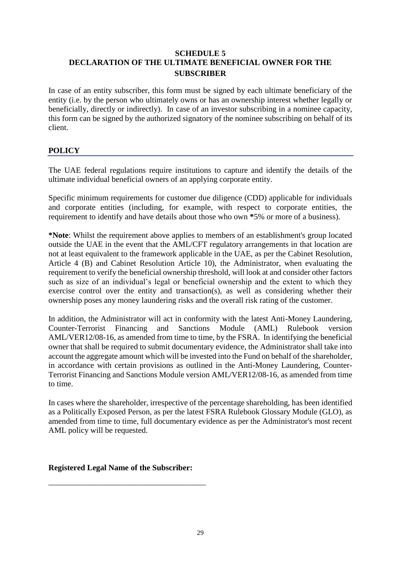# **SCHEDULE 5 DECLARATION OF THE ULTIMATE BENEFICIAL OWNER FOR THE SUBSCRIBER**

In case of an entity subscriber, this form must be signed by each ultimate beneficiary of the entity (i.e. by the person who ultimately owns or has an ownership interest whether legally or beneficially, directly or indirectly). In case of an investor subscribing in a nominee capacity, this form can be signed by the authorized signatory of the nominee subscribing on behalf of its client.

# **POLICY**

The UAE federal regulations require institutions to capture and identify the details of the ultimate individual beneficial owners of an applying corporate entity.

Specific minimum requirements for customer due diligence (CDD) applicable for individuals and corporate entities (including, for example, with respect to corporate entities, the requirement to identify and have details about those who own **\***5% or more of a business).

**\*Note**: Whilst the requirement above applies to members of an establishment's group located outside the UAE in the event that the AML/CFT regulatory arrangements in that location are not at least equivalent to the framework applicable in the UAE, as per the Cabinet Resolution, Article 4 (B) and Cabinet Resolution Article 10), the Administrator, when evaluating the requirement to verify the beneficial ownership threshold, will look at and consider other factors such as size of an individual's legal or beneficial ownership and the extent to which they exercise control over the entity and transaction(s), as well as considering whether their ownership poses any money laundering risks and the overall risk rating of the customer.

In addition, the Administrator will act in conformity with the latest Anti-Money Laundering, Counter-Terrorist Financing and Sanctions Module (AML) Rulebook version AML/VER12/08-16, as amended from time to time, by the FSRA. In identifying the beneficial owner that shall be required to submit documentary evidence, the Administrator shall take into account the aggregate amount which will be invested into the Fund on behalf of the shareholder, in accordance with certain provisions as outlined in the Anti-Money Laundering, Counter-Terrorist Financing and Sanctions Module version AML/VER12/08-16, as amended from time to time.

In cases where the shareholder, irrespective of the percentage shareholding, has been identified as a Politically Exposed Person, as per the latest FSRA Rulebook Glossary Module (GLO), as amended from time to time, full documentary evidence as per the Administrator's most recent AML policy will be requested.

**Registered Legal Name of the Subscriber:**

\_\_\_\_\_\_\_\_\_\_\_\_\_\_\_\_\_\_\_\_\_\_\_\_\_\_\_\_\_\_\_\_\_\_\_\_\_\_\_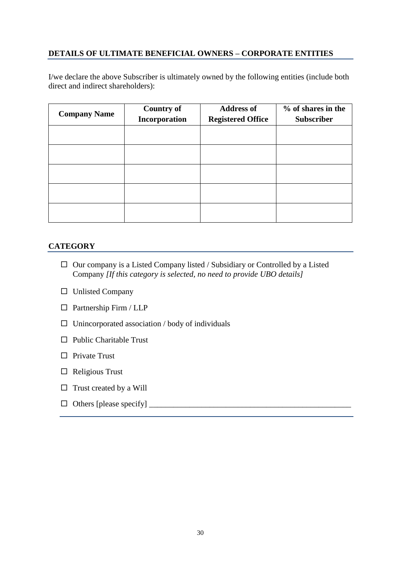# **DETAILS OF ULTIMATE BENEFICIAL OWNERS – CORPORATE ENTITIES**

I/we declare the above Subscriber is ultimately owned by the following entities (include both direct and indirect shareholders):

| <b>Company Name</b> | <b>Country of</b><br>Incorporation | <b>Address of</b><br><b>Registered Office</b> | % of shares in the<br><b>Subscriber</b> |
|---------------------|------------------------------------|-----------------------------------------------|-----------------------------------------|
|                     |                                    |                                               |                                         |
|                     |                                    |                                               |                                         |
|                     |                                    |                                               |                                         |
|                     |                                    |                                               |                                         |
|                     |                                    |                                               |                                         |

# **CATEGORY**

- $\Box$  Our company is a Listed Company listed / Subsidiary or Controlled by a Listed Company *[If this category is selected, no need to provide UBO details]*
- $\square$  Unlisted Company
- $\square$  Partnership Firm / LLP
- $\Box$  Unincorporated association / body of individuals
- $\Box$  Public Charitable Trust
- $\Box$  Private Trust
- $\Box$  Religious Trust
- $\Box$  Trust created by a Will
- Others [please specify] \_\_\_\_\_\_\_\_\_\_\_\_\_\_\_\_\_\_\_\_\_\_\_\_\_\_\_\_\_\_\_\_\_\_\_\_\_\_\_\_\_\_\_\_\_\_\_\_\_\_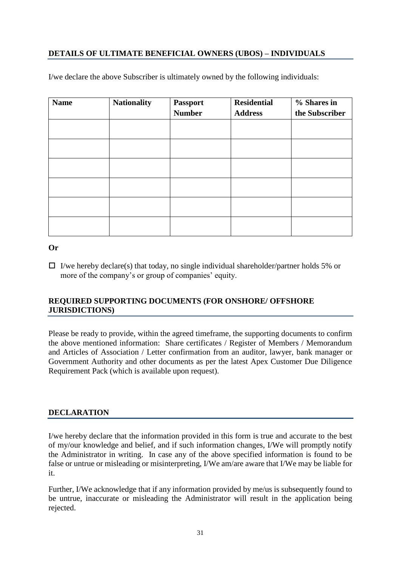# **DETAILS OF ULTIMATE BENEFICIAL OWNERS (UBOS) – INDIVIDUALS**

| <b>Name</b> | <b>Nationality</b> | <b>Passport</b><br><b>Number</b> | <b>Residential</b><br><b>Address</b> | % Shares in<br>the Subscriber |
|-------------|--------------------|----------------------------------|--------------------------------------|-------------------------------|
|             |                    |                                  |                                      |                               |
|             |                    |                                  |                                      |                               |
|             |                    |                                  |                                      |                               |
|             |                    |                                  |                                      |                               |
|             |                    |                                  |                                      |                               |
|             |                    |                                  |                                      |                               |

I/we declare the above Subscriber is ultimately owned by the following individuals:

## **Or**

 $\Box$  I/we hereby declare(s) that today, no single individual shareholder/partner holds 5% or more of the company's or group of companies' equity.

# **REQUIRED SUPPORTING DOCUMENTS (FOR ONSHORE/ OFFSHORE JURISDICTIONS)**

Please be ready to provide, within the agreed timeframe, the supporting documents to confirm the above mentioned information: Share certificates / Register of Members / Memorandum and Articles of Association / Letter confirmation from an auditor, lawyer, bank manager or Government Authority and other documents as per the latest Apex Customer Due Diligence Requirement Pack (which is available upon request).

# **DECLARATION**

I/we hereby declare that the information provided in this form is true and accurate to the best of my/our knowledge and belief, and if such information changes, I/We will promptly notify the Administrator in writing. In case any of the above specified information is found to be false or untrue or misleading or misinterpreting, I/We am/are aware that I/We may be liable for it.

Further, I/We acknowledge that if any information provided by me/us is subsequently found to be untrue, inaccurate or misleading the Administrator will result in the application being rejected.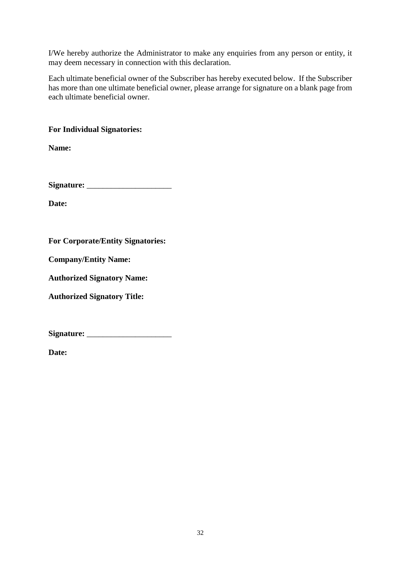I/We hereby authorize the Administrator to make any enquiries from any person or entity, it may deem necessary in connection with this declaration.

Each ultimate beneficial owner of the Subscriber has hereby executed below. If the Subscriber has more than one ultimate beneficial owner, please arrange for signature on a blank page from each ultimate beneficial owner.

# **For Individual Signatories:**

**Name:**

**Signature:** \_\_\_\_\_\_\_\_\_\_\_\_\_\_\_\_\_\_\_\_\_

**Date:**

**For Corporate/Entity Signatories:**

**Company/Entity Name:**

**Authorized Signatory Name:** 

**Authorized Signatory Title:**

**Signature:** \_\_\_\_\_\_\_\_\_\_\_\_\_\_\_\_\_\_\_\_\_

**Date:**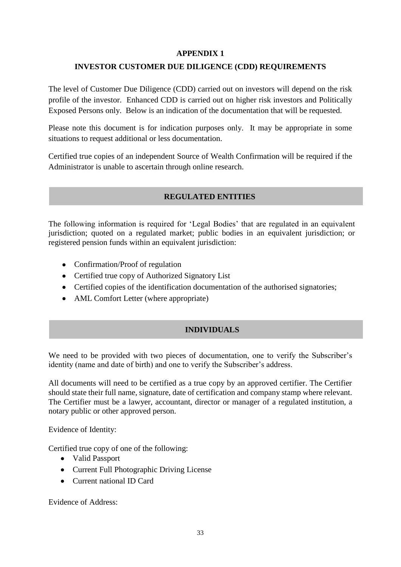# **APPENDIX 1**

# **INVESTOR CUSTOMER DUE DILIGENCE (CDD) REQUIREMENTS**

The level of Customer Due Diligence (CDD) carried out on investors will depend on the risk profile of the investor. Enhanced CDD is carried out on higher risk investors and Politically Exposed Persons only. Below is an indication of the documentation that will be requested.

Please note this document is for indication purposes only. It may be appropriate in some situations to request additional or less documentation.

Certified true copies of an independent Source of Wealth Confirmation will be required if the Administrator is unable to ascertain through online research.

# **REGULATED ENTITIES**

The following information is required for 'Legal Bodies' that are regulated in an equivalent jurisdiction; quoted on a regulated market; public bodies in an equivalent jurisdiction; or registered pension funds within an equivalent jurisdiction:

- Confirmation/Proof of regulation
- Certified true copy of Authorized Signatory List
- Certified copies of the identification documentation of the authorised signatories;
- AML Comfort Letter (where appropriate)

# **INDIVIDUALS**

We need to be provided with two pieces of documentation, one to verify the Subscriber's identity (name and date of birth) and one to verify the Subscriber's address.

All documents will need to be certified as a true copy by an approved certifier. The Certifier should state their full name, signature, date of certification and company stamp where relevant. The Certifier must be a lawyer, accountant, director or manager of a regulated institution, a notary public or other approved person.

Evidence of Identity:

Certified true copy of one of the following:

- Valid Passport
- Current Full Photographic Driving License
- Current national ID Card

Evidence of Address: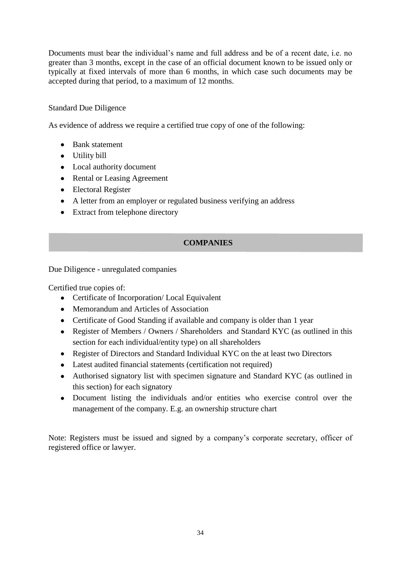Documents must bear the individual's name and full address and be of a recent date, i.e. no greater than 3 months, except in the case of an official document known to be issued only or typically at fixed intervals of more than 6 months, in which case such documents may be accepted during that period, to a maximum of 12 months.

# Standard Due Diligence

As evidence of address we require a certified true copy of one of the following:

- Bank statement
- Utility bill
- Local authority document
- Rental or Leasing Agreement
- Electoral Register
- A letter from an employer or regulated business verifying an address
- Extract from telephone directory

# **COMPANIES**

Due Diligence - unregulated companies

Certified true copies of:

- Certificate of Incorporation/ Local Equivalent
- Memorandum and Articles of Association
- Certificate of Good Standing if available and company is older than 1 year
- Register of Members / Owners / Shareholders and Standard KYC (as outlined in this section for each individual/entity type) on all shareholders
- Register of Directors and Standard Individual KYC on the at least two Directors
- Latest audited financial statements (certification not required)
- Authorised signatory list with specimen signature and Standard KYC (as outlined in this section) for each signatory
- Document listing the individuals and/or entities who exercise control over the management of the company. E.g. an ownership structure chart

Note: Registers must be issued and signed by a company's corporate secretary, officer of registered office or lawyer.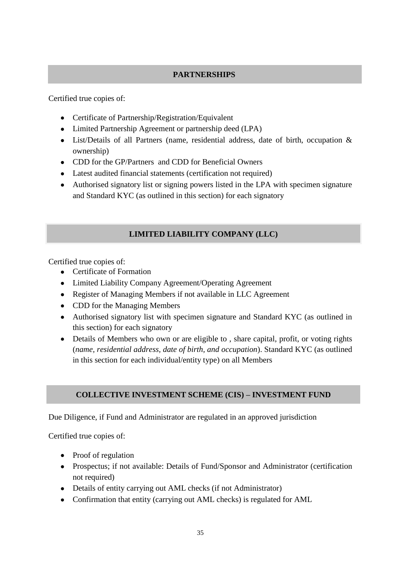# **PARTNERSHIPS**

Certified true copies of:

- Certificate of Partnership/Registration/Equivalent
- Limited Partnership Agreement or partnership deed (LPA)
- List/Details of all Partners (name, residential address, date of birth, occupation & ownership)
- CDD for the GP/Partners and CDD for Beneficial Owners
- Latest audited financial statements (certification not required)
- Authorised signatory list or signing powers listed in the LPA with specimen signature and Standard KYC (as outlined in this section) for each signatory

# **LIMITED LIABILITY COMPANY (LLC)**

Certified true copies of:

- Certificate of Formation
- Limited Liability Company Agreement/Operating Agreement
- Register of Managing Members if not available in LLC Agreement
- CDD for the Managing Members
- Authorised signatory list with specimen signature and Standard KYC (as outlined in this section) for each signatory
- Details of Members who own or are eligible to, share capital, profit, or voting rights (*name, residential address, date of birth, and occupation*). Standard KYC (as outlined in this section for each individual/entity type) on all Members

# **COLLECTIVE INVESTMENT SCHEME (CIS) – INVESTMENT FUND**

Due Diligence, if Fund and Administrator are regulated in an approved jurisdiction

Certified true copies of:

- Proof of regulation
- Prospectus; if not available: Details of Fund/Sponsor and Administrator (certification not required)
- Details of entity carrying out AML checks (if not Administrator)
- Confirmation that entity (carrying out AML checks) is regulated for AML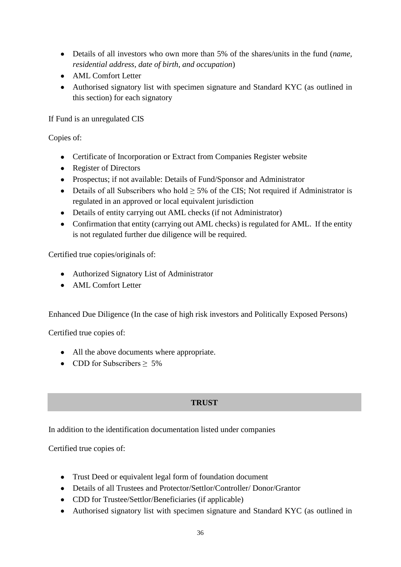- Details of all investors who own more than 5% of the shares/units in the fund (*name, residential address, date of birth, and occupation*)
- AML Comfort Letter
- Authorised signatory list with specimen signature and Standard KYC (as outlined in this section) for each signatory

If Fund is an unregulated CIS

Copies of:

- Certificate of Incorporation or Extract from Companies Register website
- Register of Directors
- Prospectus; if not available: Details of Fund/Sponsor and Administrator
- Details of all Subscribers who hold  $\geq$  5% of the CIS; Not required if Administrator is regulated in an approved or local equivalent jurisdiction
- Details of entity carrying out AML checks (if not Administrator)
- Confirmation that entity (carrying out AML checks) is regulated for AML. If the entity is not regulated further due diligence will be required.

Certified true copies/originals of:

- Authorized Signatory List of Administrator
- AML Comfort Letter

Enhanced Due Diligence (In the case of high risk investors and Politically Exposed Persons)

Certified true copies of:

- All the above documents where appropriate.
- CDD for Subscribers  $\geq 5\%$

# **TRUST**

In addition to the identification documentation listed under companies

Certified true copies of:

- Trust Deed or equivalent legal form of foundation document
- Details of all Trustees and Protector/Settlor/Controller/ Donor/Grantor
- CDD for Trustee/Settlor/Beneficiaries (if applicable)
- Authorised signatory list with specimen signature and Standard KYC (as outlined in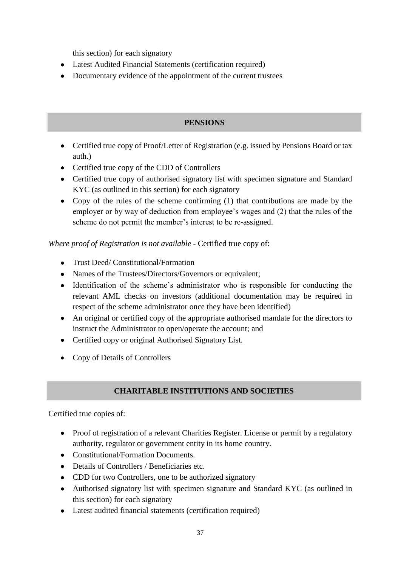this section) for each signatory

- Latest Audited Financial Statements (certification required)
- Documentary evidence of the appointment of the current trustees

# **PENSIONS**

- Certified true copy of Proof/Letter of Registration (e.g. issued by Pensions Board or tax auth.)
- Certified true copy of the CDD of Controllers
- Certified true copy of authorised signatory list with specimen signature and Standard KYC (as outlined in this section) for each signatory
- Copy of the rules of the scheme confirming (1) that contributions are made by the employer or by way of deduction from employee's wages and (2) that the rules of the scheme do not permit the member's interest to be re-assigned.

*Where proof of Registration is not available -* Certified true copy of:

- Trust Deed/ Constitutional/Formation
- Names of the Trustees/Directors/Governors or equivalent;
- Identification of the scheme's administrator who is responsible for conducting the relevant AML checks on investors (additional documentation may be required in respect of the scheme administrator once they have been identified)
- An original or certified copy of the appropriate authorised mandate for the directors to instruct the Administrator to open/operate the account; and
- Certified copy or original Authorised Signatory List.
- Copy of Details of Controllers

# **CHARITABLE INSTITUTIONS AND SOCIETIES**

Certified true copies of:

- Proof of registration of a relevant Charities Register. **L**icense or permit by a regulatory authority, regulator or government entity in its home country.
- Constitutional/Formation Documents.
- Details of Controllers / Beneficiaries etc.
- CDD for two Controllers, one to be authorized signatory
- Authorised signatory list with specimen signature and Standard KYC (as outlined in this section) for each signatory
- Latest audited financial statements (certification required)